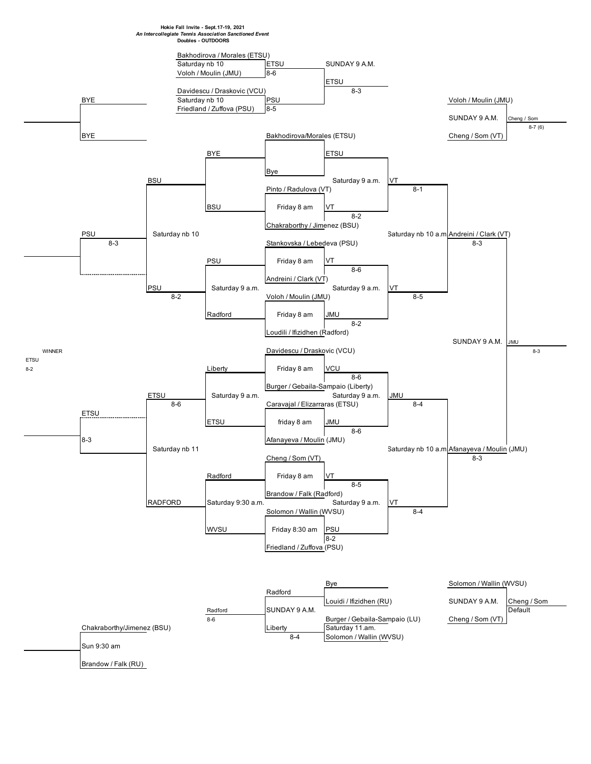